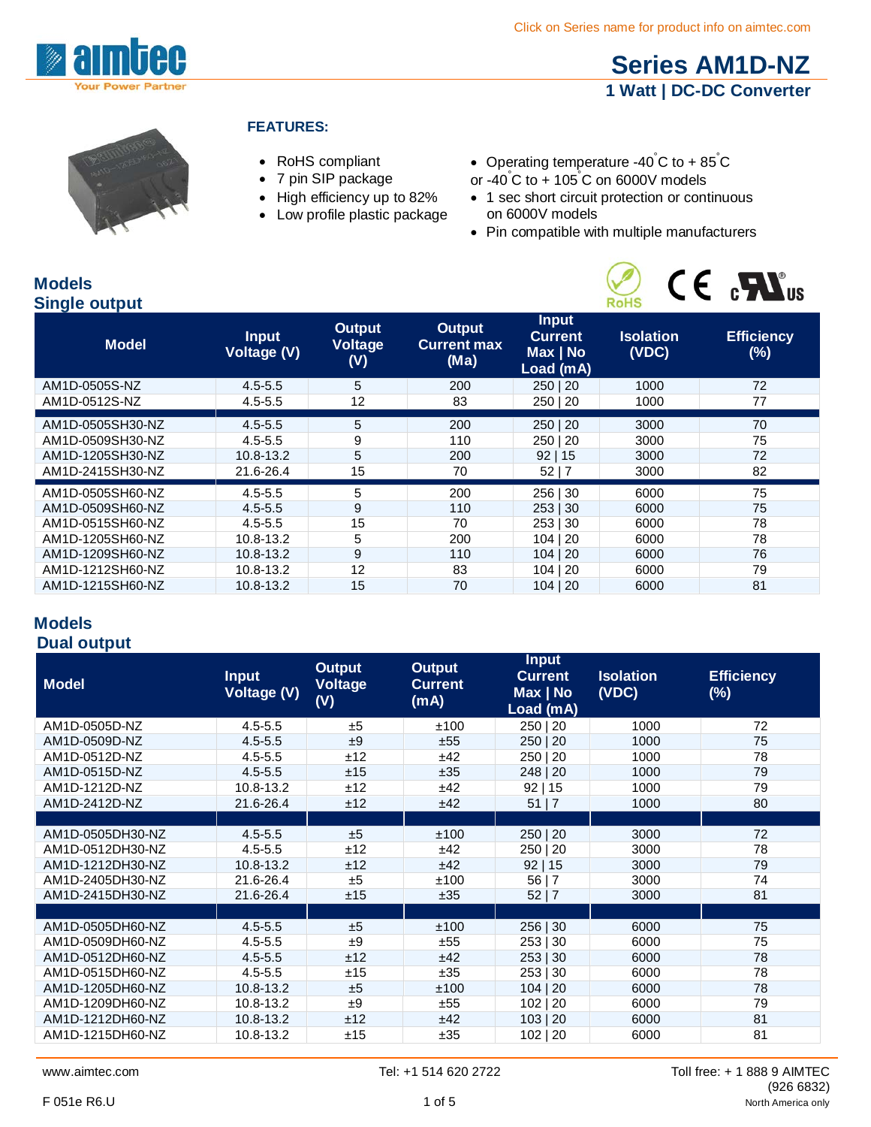

# **[Series AM1D-NZ](http://www.aimtec.com/am1d-nz) 1 Watt | DC-DC Converter**



#### **FEATURES:**

- RoHS compliant
- 7 pin SIP package
- High efficiency up to 82%
- Low profile plastic package
- Operating temperature -40°C to + 85°C
- or -40° C to + 105° C on 6000V models
- 1 sec short circuit protection or continuous on 6000V models
- Pin compatible with multiple manufacturers



#### **Models Single output**

| <b>Efficiency</b><br>$(\%)$<br>72 |
|-----------------------------------|
|                                   |
|                                   |
| 77                                |
|                                   |
| 70                                |
| 75                                |
| 72                                |
| 82                                |
| 75                                |
| 75                                |
| 78                                |
| 78                                |
| 76                                |
| 79                                |
| 81                                |
|                                   |

### **Models Dual output**

| <b>Model</b>     | <b>Input</b><br><b>Voltage (V)</b> | <b>Output</b><br><b>Voltage</b><br>(V) | <b>Output</b><br><b>Current</b><br>(mA) | <b>Input</b><br><b>Current</b><br>Max   No | <b>Isolation</b><br>(VDC) | <b>Efficiency</b><br>$(\%)$ |
|------------------|------------------------------------|----------------------------------------|-----------------------------------------|--------------------------------------------|---------------------------|-----------------------------|
|                  |                                    |                                        |                                         | Load (mA)                                  |                           |                             |
| AM1D-0505D-NZ    | $4.5 - 5.5$                        | ±5                                     | ±100                                    | 250   20                                   | 1000                      | 72                          |
| AM1D-0509D-NZ    | $4.5 - 5.5$                        | ±9                                     | ±55                                     | 250 20                                     | 1000                      | 75                          |
| AM1D-0512D-NZ    | $4.5 - 5.5$                        | ±12                                    | ±42                                     | 250   20                                   | 1000                      | 78                          |
| AM1D-0515D-NZ    | $4.5 - 5.5$                        | ±15                                    | ±35                                     | 248   20                                   | 1000                      | 79                          |
| AM1D-1212D-NZ    | 10.8-13.2                          | ±12                                    | ±42                                     | 92 15                                      | 1000                      | 79                          |
| AM1D-2412D-NZ    | 21.6-26.4                          | ±12                                    | ±42                                     | 51   7                                     | 1000                      | 80                          |
|                  |                                    |                                        |                                         |                                            |                           |                             |
| AM1D-0505DH30-NZ | $4.5 - 5.5$                        | ±5                                     | ±100                                    | 250   20                                   | 3000                      | 72                          |
| AM1D-0512DH30-NZ | $4.5 - 5.5$                        | ±12                                    | ±42                                     | 250   20                                   | 3000                      | 78                          |
| AM1D-1212DH30-NZ | 10.8-13.2                          | ±12                                    | ±42                                     | 92 15                                      | 3000                      | 79                          |
| AM1D-2405DH30-NZ | 21.6-26.4                          | ±5                                     | ±100                                    | 56 7                                       | 3000                      | 74                          |
| AM1D-2415DH30-NZ | 21.6-26.4                          | ±15                                    | ±35                                     | 52 7                                       | 3000                      | 81                          |
|                  |                                    |                                        |                                         |                                            |                           |                             |
| AM1D-0505DH60-NZ | $4.5 - 5.5$                        | ±5                                     | ±100                                    | 256   30                                   | 6000                      | 75                          |
| AM1D-0509DH60-NZ | $4.5 - 5.5$                        | ±9                                     | ±55                                     | 253   30                                   | 6000                      | 75                          |
| AM1D-0512DH60-NZ | $4.5 - 5.5$                        | ±12                                    | ±42                                     | 253   30                                   | 6000                      | 78                          |
| AM1D-0515DH60-NZ | $4.5 - 5.5$                        | ±15                                    | ±35                                     | 253   30                                   | 6000                      | 78                          |
| AM1D-1205DH60-NZ | 10.8-13.2                          | ±5                                     | ±100                                    | 104   20                                   | 6000                      | 78                          |
| AM1D-1209DH60-NZ | 10.8-13.2                          | ±9                                     | ±55                                     | 102   20                                   | 6000                      | 79                          |
| AM1D-1212DH60-NZ | 10.8-13.2                          | ±12                                    | ±42                                     | 103   20                                   | 6000                      | 81                          |
| AM1D-1215DH60-NZ | 10.8-13.2                          | ±15                                    | ±35                                     | 102   20                                   | 6000                      | 81                          |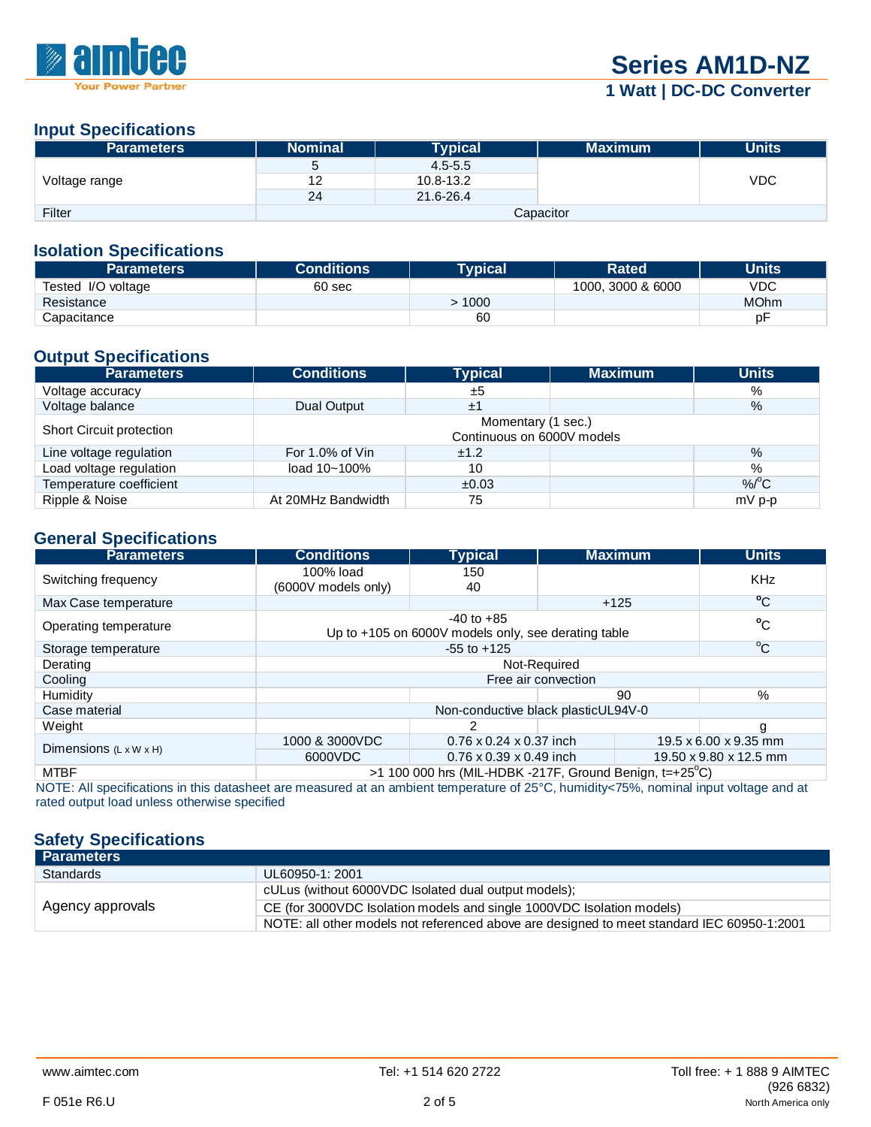

# **1 Watt | DC-DC Converter**

#### **Input Specifications**

| <b>Parameters</b> | <b>Nominal</b> | <b>Typical</b> | <b>Maximum</b> | <b>Units</b> |
|-------------------|----------------|----------------|----------------|--------------|
| Voltage range     | э              | $4.5 - 5.5$    |                |              |
|                   | 12             | 10.8-13.2      |                | <b>VDC</b>   |
|                   | 24             | 21.6-26.4      |                |              |
| Filter            | Capacitor      |                |                |              |

#### **Isolation Specifications**

| <b>Parameters</b>  | <b>Conditions</b> | Tvpical | <b>Rated</b>      | Units       |
|--------------------|-------------------|---------|-------------------|-------------|
| Tested I/O voltage | 60 sec            |         | 1000, 3000 & 6000 | VDC         |
| Resistance         |                   | 1000    |                   | <b>MOhm</b> |
| Capacitance        |                   | 60      |                   | рF          |

# **Output Specifications**

| <b>Parameters</b>        | <b>Conditions</b>                                | <b>Typical</b> | <b>Maximum</b> | <b>Units</b> |  |
|--------------------------|--------------------------------------------------|----------------|----------------|--------------|--|
| Voltage accuracy         |                                                  | ±5             |                | %            |  |
| Voltage balance          | Dual Output                                      | ±1             |                | $\%$         |  |
| Short Circuit protection | Momentary (1 sec.)<br>Continuous on 6000V models |                |                |              |  |
| Line voltage regulation  | For 1.0% of Vin                                  | ±1.2           |                | $\%$         |  |
| Load voltage regulation  | load 10~100%                                     | 10             |                | %            |  |
| Temperature coefficient  |                                                  | ±0.03          |                | $%^{\circ}C$ |  |
| Ripple & Noise           | At 20MHz Bandwidth                               | 75             |                | $mV$ p-p     |  |

#### **General Specifications**

| <b>Parameters</b>                  | <b>Conditions</b>                                                      | <b>Typical</b>                                                        |                       | <b>Maximum</b> | <b>Units</b>           |
|------------------------------------|------------------------------------------------------------------------|-----------------------------------------------------------------------|-----------------------|----------------|------------------------|
| Switching frequency                | 100% load<br>(6000V models only)                                       | 150<br>40                                                             |                       |                | <b>KHz</b>             |
| Max Case temperature               |                                                                        |                                                                       | $+125$                |                | $^{\circ}$ C           |
| Operating temperature              |                                                                        | $-40$ to $+85$<br>Up to +105 on 6000V models only, see derating table |                       |                | $^{\circ}$ C           |
| Storage temperature                |                                                                        | $-55$ to $+125$                                                       |                       |                | $^{\circ}$ C           |
| Derating                           |                                                                        |                                                                       | Not-Required          |                |                        |
| Cooling                            |                                                                        |                                                                       | Free air convection   |                |                        |
| Humidity                           |                                                                        |                                                                       |                       | 90             | %                      |
| Case material                      |                                                                        | Non-conductive black plasticUL94V-0                                   |                       |                |                        |
| Weight                             | 2                                                                      |                                                                       | g                     |                |                        |
| Dimensions $(L \times W \times H)$ | 1000 & 3000VDC<br>$0.76 \times 0.24 \times 0.37$ inch                  |                                                                       | 19.5 x 6.00 x 9.35 mm |                |                        |
|                                    | 6000VDC                                                                | $0.76 \times 0.39 \times 0.49$ inch                                   |                       |                | 19.50 x 9.80 x 12.5 mm |
| <b>MTBF</b>                        | $>1$ 100 000 hrs (MIL-HDBK -217F, Ground Benign, t=+25 <sup>o</sup> C) |                                                                       |                       |                |                        |

NOTE: All specifications in this datasheet are measured at an ambient temperature of 25°C, humidity<75%, nominal input voltage and at rated output load unless otherwise specified

### **Safety Specifications**

| <b>Parameters</b> |                                                                                            |
|-------------------|--------------------------------------------------------------------------------------------|
| <b>Standards</b>  | UL60950-1: 2001                                                                            |
|                   | cULus (without 6000VDC Isolated dual output models);                                       |
| Agency approvals  | CE (for 3000VDC Isolation models and single 1000VDC Isolation models)                      |
|                   | NOTE: all other models not referenced above are designed to meet standard IEC 60950-1:2001 |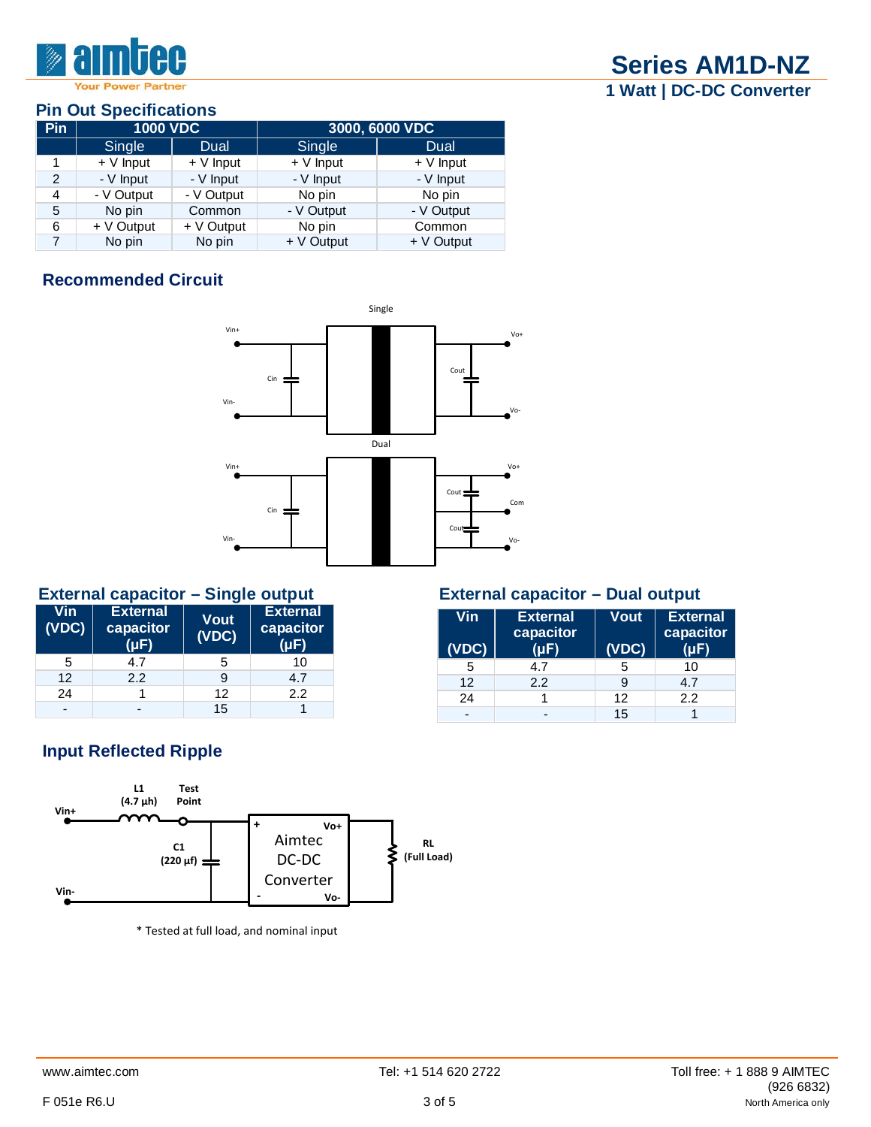

## **Pin Out Specifications**

| <b>Pin</b>     | <b>1000 VDC</b> |            | 3000, 6000 VDC |            |
|----------------|-----------------|------------|----------------|------------|
|                | Single          | Dual       | Single         | Dual       |
|                | $+V$ Input      | $+V$ Input | $+V$ Input     | $+V$ Input |
| $\mathfrak{p}$ | - V Input       | - V Input  | - V Input      | - V Input  |
| 4              | - V Output      | - V Output | No pin         | No pin     |
| 5              | No pin          | Common     | - V Output     | - V Output |
| 6              | + V Output      | + V Output | No pin         | Common     |
|                | No pin          | No pin     | + V Output     | + V Output |

# **Recommended Circuit**



### **External capacitor – Single output External capacitor – Dual output**

| Vin<br>(VDC) | <b>External</b><br>capacitor<br>(uF | <b>Vout</b><br>(VDC) | <b>External</b><br>capacitor |
|--------------|-------------------------------------|----------------------|------------------------------|
| 5            | 4.7                                 | 5                    | 10                           |
| 12           | 2.2                                 | 9                    | 4.7                          |
| 24           |                                     | 12                   | 2.2                          |
| -            |                                     | 15                   |                              |

| Vin<br>(VDC) | <b>External</b><br>capacitor<br>(uF | <b>Vout</b><br>(VDC) | <b>External</b><br>capacitor |
|--------------|-------------------------------------|----------------------|------------------------------|
| 5            | 4.7                                 | 5                    | 10                           |
| 12           | 2.2                                 | 9                    | 4.7                          |
| 24           |                                     | 12                   | 2.2                          |
|              |                                     | 15                   |                              |

# **Input Reflected Ripple**



\* Tested at full load, and nominal input

**Series AM1D-NZ 1 Watt | DC-DC Converter**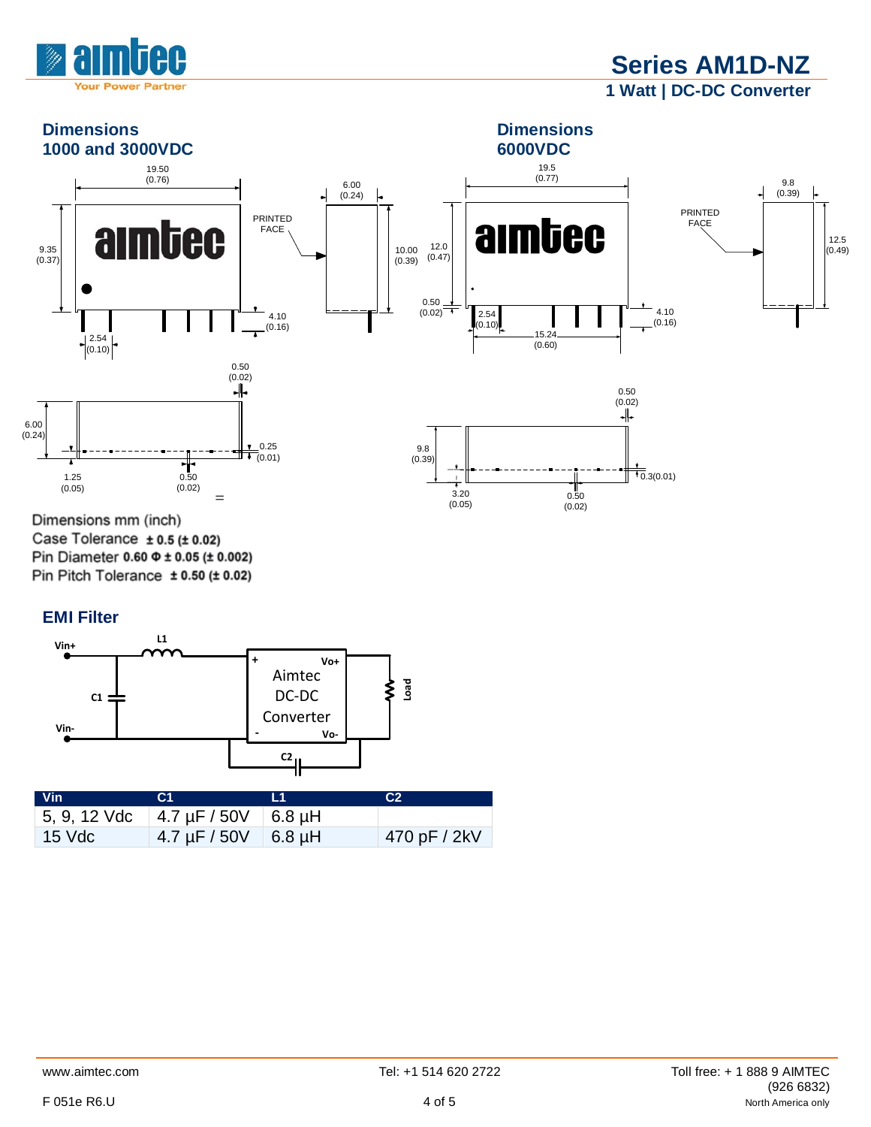

**Series AM1D-NZ 1 Watt | DC-DC Converter**



Dimensions mm (inch) Case Tolerance  $\pm$  0.5 ( $\pm$  0.02) Pin Diameter 0.60  $\Phi$  ± 0.05 (± 0.002) Pin Pitch Tolerance  $\pm$  0.50 ( $\pm$  0.02)

### **EMI Filter**